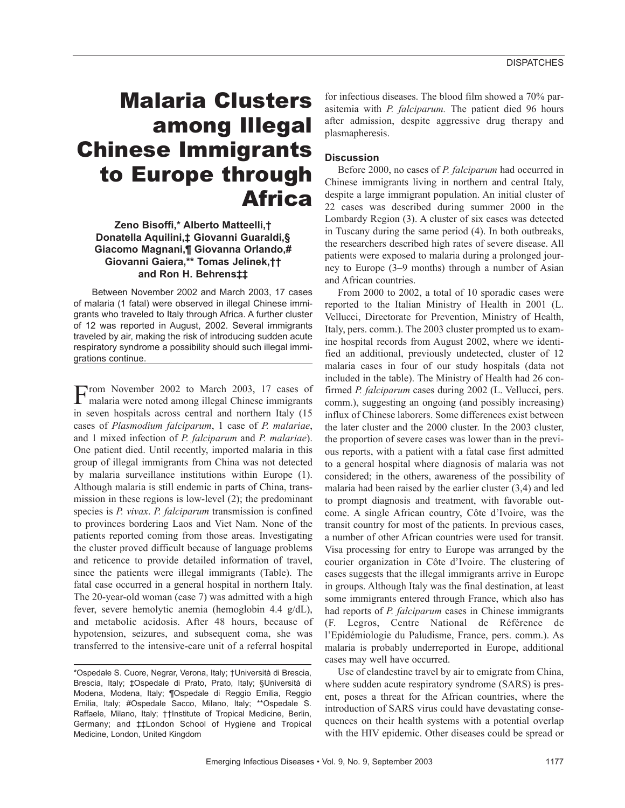# Malaria Clusters among Illegal Chinese Immigrants to Europe through Africa

# **Zeno Bisoffi,\* Alberto Matteelli,† Donatella Aquilini,‡ Giovanni Guaraldi,§ Giacomo Magnani,¶ Giovanna Orlando,# Giovanni Gaiera,\*\* Tomas Jelinek,†† and Ron H. Behrens‡‡**

Between November 2002 and March 2003, 17 cases of malaria (1 fatal) were observed in illegal Chinese immigrants who traveled to Italy through Africa. A further cluster of 12 was reported in August, 2002. Several immigrants traveled by air, making the risk of introducing sudden acute respiratory syndrome a possibility should such illegal immigrations continue.

From November 2002 to March 2003, 17 cases of malaria were noted among illegal Chinese immigrants in seven hospitals across central and northern Italy (15 cases of *Plasmodium falciparum*, 1 case of *P. malariae*, and 1 mixed infection of *P. falciparum* and *P. malariae*). One patient died. Until recently, imported malaria in this group of illegal immigrants from China was not detected by malaria surveillance institutions within Europe (1). Although malaria is still endemic in parts of China, transmission in these regions is low-level (2); the predominant species is *P. vivax*. *P. falciparum* transmission is confined to provinces bordering Laos and Viet Nam. None of the patients reported coming from those areas. Investigating the cluster proved difficult because of language problems and reticence to provide detailed information of travel, since the patients were illegal immigrants (Table). The fatal case occurred in a general hospital in northern Italy. The 20-year-old woman (case 7) was admitted with a high fever, severe hemolytic anemia (hemoglobin 4.4 g/dL), and metabolic acidosis. After 48 hours, because of hypotension, seizures, and subsequent coma, she was transferred to the intensive-care unit of a referral hospital

for infectious diseases. The blood film showed a 70% parasitemia with *P. falciparum.* The patient died 96 hours after admission, despite aggressive drug therapy and plasmapheresis.

# **Discussion**

Before 2000, no cases of *P. falciparum* had occurred in Chinese immigrants living in northern and central Italy, despite a large immigrant population. An initial cluster of 22 cases was described during summer 2000 in the Lombardy Region (3). A cluster of six cases was detected in Tuscany during the same period (4). In both outbreaks, the researchers described high rates of severe disease. All patients were exposed to malaria during a prolonged journey to Europe (3–9 months) through a number of Asian and African countries.

From 2000 to 2002, a total of 10 sporadic cases were reported to the Italian Ministry of Health in 2001 (L. Vellucci, Directorate for Prevention, Ministry of Health, Italy, pers. comm.). The 2003 cluster prompted us to examine hospital records from August 2002, where we identified an additional, previously undetected, cluster of 12 malaria cases in four of our study hospitals (data not included in the table). The Ministry of Health had 26 confirmed *P. falciparum* cases during 2002 (L. Vellucci, pers. comm.), suggesting an ongoing (and possibly increasing) influx of Chinese laborers. Some differences exist between the later cluster and the 2000 cluster. In the 2003 cluster, the proportion of severe cases was lower than in the previous reports, with a patient with a fatal case first admitted to a general hospital where diagnosis of malaria was not considered; in the others, awareness of the possibility of malaria had been raised by the earlier cluster (3,4) and led to prompt diagnosis and treatment, with favorable outcome. A single African country, Côte d'Ivoire, was the transit country for most of the patients. In previous cases, a number of other African countries were used for transit. Visa processing for entry to Europe was arranged by the courier organization in Côte d'Ivoire. The clustering of cases suggests that the illegal immigrants arrive in Europe in groups. Although Italy was the final destination, at least some immigrants entered through France, which also has had reports of *P. falciparum* cases in Chinese immigrants (F. Legros, Centre National de Référence de l'Epidémiologie du Paludisme, France, pers. comm.). As malaria is probably underreported in Europe, additional cases may well have occurred.

Use of clandestine travel by air to emigrate from China, where sudden acute respiratory syndrome (SARS) is present, poses a threat for the African countries, where the introduction of SARS virus could have devastating consequences on their health systems with a potential overlap with the HIV epidemic. Other diseases could be spread or

<sup>\*</sup>Ospedale S. Cuore, Negrar, Verona, Italy; †Università di Brescia, Brescia, Italy; ‡Ospedale di Prato, Prato, Italy; §Università di Modena, Modena, Italy; ¶Ospedale di Reggio Emilia, Reggio Emilia, Italy; #Ospedale Sacco, Milano, Italy; \*\*Ospedale S. Raffaele, Milano, Italy; ††Institute of Tropical Medicine, Berlin, Germany; and ‡‡London School of Hygiene and Tropical Medicine, London, United Kingdom